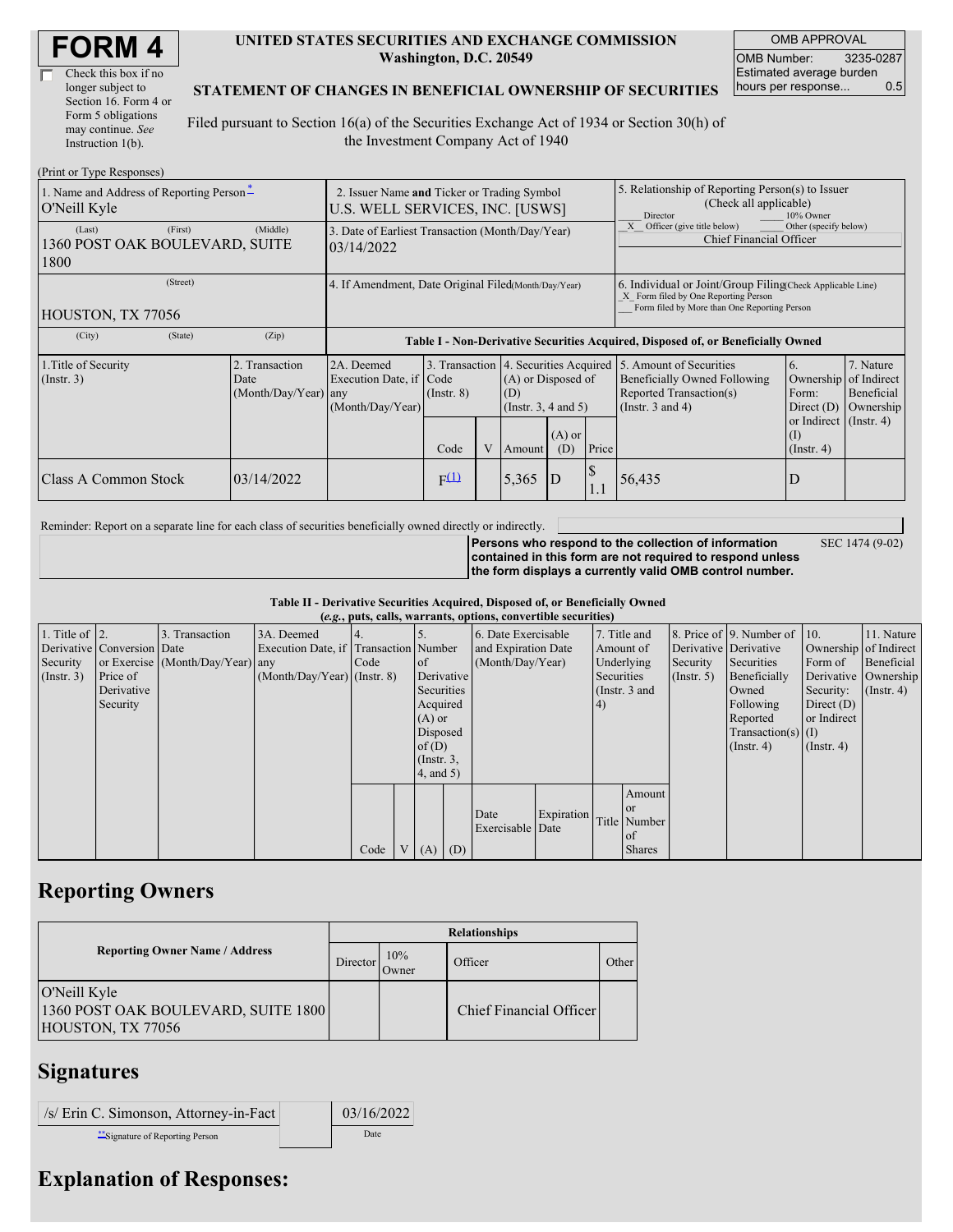| <b>FORM4</b> |
|--------------|
|--------------|

| Check this box if no  |
|-----------------------|
| longer subject to     |
| Section 16. Form 4 or |
| Form 5 obligations    |
| may continue. See     |
| Instruction 1(b).     |

#### **UNITED STATES SECURITIES AND EXCHANGE COMMISSION Washington, D.C. 20549**

OMB APPROVAL OMB Number: 3235-0287 Estimated average burden hours per response... 0.5

SEC 1474 (9-02)

#### **STATEMENT OF CHANGES IN BENEFICIAL OWNERSHIP OF SECURITIES**

Filed pursuant to Section 16(a) of the Securities Exchange Act of 1934 or Section 30(h) of the Investment Company Act of 1940

| (Print or Type Responses)                                   |                                                                                |                                                                                  |                 |                                                                                                                                    |        |     |                                                                                                                                                    |                                                                                  |                                                                                                                      |                                      |
|-------------------------------------------------------------|--------------------------------------------------------------------------------|----------------------------------------------------------------------------------|-----------------|------------------------------------------------------------------------------------------------------------------------------------|--------|-----|----------------------------------------------------------------------------------------------------------------------------------------------------|----------------------------------------------------------------------------------|----------------------------------------------------------------------------------------------------------------------|--------------------------------------|
| 1. Name and Address of Reporting Person-<br>O'Neill Kyle    | 2. Issuer Name and Ticker or Trading Symbol<br>U.S. WELL SERVICES, INC. [USWS] |                                                                                  |                 |                                                                                                                                    |        |     | 5. Relationship of Reporting Person(s) to Issuer<br>(Check all applicable)<br>10% Owner<br>Director                                                |                                                                                  |                                                                                                                      |                                      |
| (Last)<br>(First)<br>1360 POST OAK BOULEVARD, SUITE<br>1800 | (Middle)                                                                       | 3. Date of Earliest Transaction (Month/Day/Year)<br>03/14/2022                   |                 |                                                                                                                                    |        |     | Other (specify below)<br>Officer (give title below)<br><b>Chief Financial Officer</b>                                                              |                                                                                  |                                                                                                                      |                                      |
| (Street)<br>HOUSTON, TX 77056                               | 4. If Amendment, Date Original Filed(Month/Day/Year)                           |                                                                                  |                 |                                                                                                                                    |        |     | 6. Individual or Joint/Group Filing Check Applicable Line)<br>X Form filed by One Reporting Person<br>Form filed by More than One Reporting Person |                                                                                  |                                                                                                                      |                                      |
| (State)<br>(City)                                           | (Zip)                                                                          | Table I - Non-Derivative Securities Acquired, Disposed of, or Beneficially Owned |                 |                                                                                                                                    |        |     |                                                                                                                                                    |                                                                                  |                                                                                                                      |                                      |
| 1. Title of Security<br>$($ Instr. 3 $)$                    | 2. Transaction<br>Date<br>(Month/Day/Year) any                                 | 2A. Deemed<br>Execution Date, if Code<br>(Month/Day/Year)                        | $($ Instr. $8)$ | 3. Transaction 4. Securities Acquired 5. Amount of Securities<br>(A) or Disposed of<br>(D)<br>(Instr. $3, 4$ and $5$ )<br>$(A)$ or |        |     |                                                                                                                                                    | Beneficially Owned Following<br>Reported Transaction(s)<br>(Instr. $3$ and $4$ ) | <sup>6.</sup><br>Ownership of Indirect<br>Form:<br>Direct $(D)$<br>or Indirect (Instr. 4)<br>$\left( \Gamma \right)$ | 7. Nature<br>Beneficial<br>Ownership |
|                                                             |                                                                                |                                                                                  | Code            |                                                                                                                                    | Amount | (D) | Price                                                                                                                                              |                                                                                  | $($ Instr. 4 $)$                                                                                                     |                                      |
| Class A Common Stock                                        | 03/14/2022                                                                     |                                                                                  | $F^{(1)}$       |                                                                                                                                    | 5,365  | D   | \$<br>1.1                                                                                                                                          | 56,435                                                                           | D                                                                                                                    |                                      |

Reminder: Report on a separate line for each class of securities beneficially owned directly or indirectly.

**Persons who respond to the collection of information contained in this form are not required to respond unless the form displays a currently valid OMB control number.**

**Table II - Derivative Securities Acquired, Disposed of, or Beneficially Owned**

| (e.g., puts, calls, warrants, options, convertible securities) |                            |                                  |                                       |      |                |                 |  |                     |            |                  |               |                       |                              |                  |                       |         |            |
|----------------------------------------------------------------|----------------------------|----------------------------------|---------------------------------------|------|----------------|-----------------|--|---------------------|------------|------------------|---------------|-----------------------|------------------------------|------------------|-----------------------|---------|------------|
| 1. Title of $\vert$ 2.                                         |                            | 3. Transaction                   | 3A. Deemed                            |      |                |                 |  | 6. Date Exercisable |            |                  | 7. Title and  |                       | 8. Price of 9. Number of 10. |                  | 11. Nature            |         |            |
|                                                                | Derivative Conversion Date |                                  | Execution Date, if Transaction Number |      |                |                 |  | and Expiration Date |            | Amount of        |               | Derivative Derivative |                              |                  | Ownership of Indirect |         |            |
| Security                                                       |                            | or Exercise (Month/Day/Year) any |                                       | Code |                | <sub>of</sub>   |  |                     |            | (Month/Day/Year) |               | Underlying            |                              | Security         | Securities            | Form of | Beneficial |
| $($ Instr. 3 $)$                                               | Price of                   |                                  | $(Month/Day/Year)$ (Instr. 8)         |      |                | Derivative      |  |                     |            | Securities       |               | (Insert, 5)           | Beneficially                 |                  | Derivative Ownership  |         |            |
|                                                                | Derivative                 |                                  |                                       |      |                | Securities      |  |                     |            |                  | (Instr. 3 and |                       | Owned                        | Security:        | $($ Instr. 4)         |         |            |
|                                                                | Security                   |                                  |                                       |      |                | Acquired        |  |                     |            | (4)              |               |                       | Following                    | Direct $(D)$     |                       |         |            |
|                                                                |                            |                                  |                                       |      |                | $(A)$ or        |  |                     |            |                  |               |                       | Reported                     | or Indirect      |                       |         |            |
|                                                                |                            |                                  |                                       |      |                | Disposed        |  |                     |            |                  |               |                       | $Transaction(s)$ (I)         |                  |                       |         |            |
|                                                                |                            |                                  |                                       |      |                | of(D)           |  |                     |            |                  |               |                       | $($ Instr. 4 $)$             | $($ Instr. 4 $)$ |                       |         |            |
|                                                                |                            |                                  |                                       |      |                | $($ Instr. $3,$ |  |                     |            |                  |               |                       |                              |                  |                       |         |            |
|                                                                |                            |                                  |                                       |      |                | $4$ , and $5$ ) |  |                     |            |                  |               |                       |                              |                  |                       |         |            |
|                                                                |                            |                                  |                                       |      |                |                 |  |                     |            |                  | Amount        |                       |                              |                  |                       |         |            |
|                                                                |                            |                                  |                                       |      |                |                 |  |                     |            |                  | <sub>or</sub> |                       |                              |                  |                       |         |            |
|                                                                |                            |                                  |                                       |      |                |                 |  | Date                | Expiration |                  | Title Number  |                       |                              |                  |                       |         |            |
|                                                                |                            |                                  |                                       |      |                |                 |  | Exercisable Date    |            |                  | of            |                       |                              |                  |                       |         |            |
|                                                                |                            |                                  |                                       | Code | V <sub>1</sub> | $(A)$ $(D)$     |  |                     |            |                  | <b>Shares</b> |                       |                              |                  |                       |         |            |

## **Reporting Owners**

|                                                                          | <b>Relationships</b> |              |                         |       |  |  |  |  |
|--------------------------------------------------------------------------|----------------------|--------------|-------------------------|-------|--|--|--|--|
| <b>Reporting Owner Name / Address</b>                                    | Director             | 10%<br>Owner | Officer                 | Other |  |  |  |  |
| O'Neill Kyle<br>1360 POST OAK BOULEVARD, SUITE 1800<br>HOUSTON, TX 77056 |                      |              | Chief Financial Officer |       |  |  |  |  |

## **Signatures**

/s/ Erin C. Simonson, Attorney-in-Fact 03/16/2022

\*\*Signature of Reporting Person

|  | 00 17 1 1 1 1 2 3 |
|--|-------------------|
|  | Date              |

# **Explanation of Responses:**